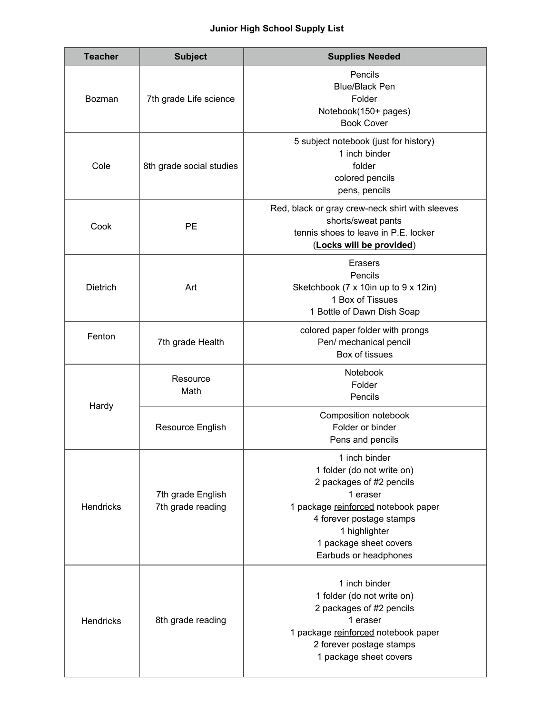## **Junior High School Supply List**

| <b>Teacher</b>   | <b>Subject</b>                         | <b>Supplies Needed</b>                                                                                                                                                                                                     |
|------------------|----------------------------------------|----------------------------------------------------------------------------------------------------------------------------------------------------------------------------------------------------------------------------|
| <b>Bozman</b>    | 7th grade Life science                 | Pencils<br><b>Blue/Black Pen</b><br>Folder<br>Notebook(150+ pages)<br><b>Book Cover</b>                                                                                                                                    |
| Cole             | 8th grade social studies               | 5 subject notebook (just for history)<br>1 inch binder<br>folder<br>colored pencils<br>pens, pencils                                                                                                                       |
| Cook             | <b>PE</b>                              | Red, black or gray crew-neck shirt with sleeves<br>shorts/sweat pants<br>tennis shoes to leave in P.E. locker<br>(Locks will be provided)                                                                                  |
| <b>Dietrich</b>  | Art                                    | <b>Erasers</b><br>Pencils<br>Sketchbook (7 x 10in up to 9 x 12in)<br>1 Box of Tissues<br>1 Bottle of Dawn Dish Soap                                                                                                        |
| Fenton           | 7th grade Health                       | colored paper folder with prongs<br>Pen/ mechanical pencil<br>Box of tissues                                                                                                                                               |
| Hardy            | Resource<br>Math                       | Notebook<br>Folder<br>Pencils                                                                                                                                                                                              |
|                  | Resource English                       | Composition notebook<br>Folder or binder<br>Pens and pencils                                                                                                                                                               |
| <b>Hendricks</b> | 7th grade English<br>7th grade reading | 1 inch binder<br>1 folder (do not write on)<br>2 packages of #2 pencils<br>1 eraser<br>1 package reinforced notebook paper<br>4 forever postage stamps<br>1 highlighter<br>1 package sheet covers<br>Earbuds or headphones |
| Hendricks        | 8th grade reading                      | 1 inch binder<br>1 folder (do not write on)<br>2 packages of #2 pencils<br>1 eraser<br>1 package reinforced notebook paper<br>2 forever postage stamps<br>1 package sheet covers                                           |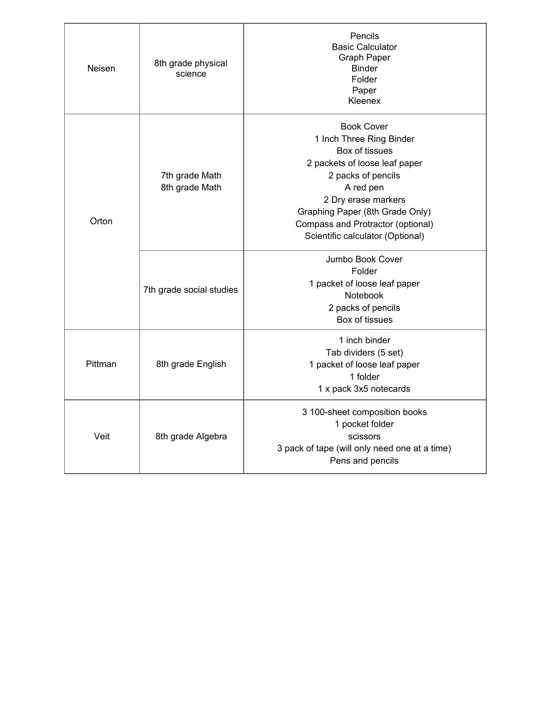| Neisen  | 8th grade physical<br>science    | Pencils<br><b>Basic Calculator</b><br>Graph Paper<br><b>Binder</b><br>Folder<br>Paper<br>Kleenex                                                                                                                                                                       |
|---------|----------------------------------|------------------------------------------------------------------------------------------------------------------------------------------------------------------------------------------------------------------------------------------------------------------------|
| Orton   | 7th grade Math<br>8th grade Math | <b>Book Cover</b><br>1 Inch Three Ring Binder<br>Box of tissues<br>2 packets of loose leaf paper<br>2 packs of pencils<br>A red pen<br>2 Dry erase markers<br>Graphing Paper (8th Grade Only)<br>Compass and Protractor (optional)<br>Scientific calculator (Optional) |
|         | 7th grade social studies         | Jumbo Book Cover<br>Folder<br>1 packet of loose leaf paper<br>Notebook<br>2 packs of pencils<br>Box of tissues                                                                                                                                                         |
| Pittman | 8th grade English                | 1 inch binder<br>Tab dividers (5 set)<br>1 packet of loose leaf paper<br>1 folder<br>1 x pack 3x5 notecards                                                                                                                                                            |
| Veit    | 8th grade Algebra                | 3 100-sheet composition books<br>1 pocket folder<br>scissors<br>3 pack of tape (will only need one at a time)<br>Pens and pencils                                                                                                                                      |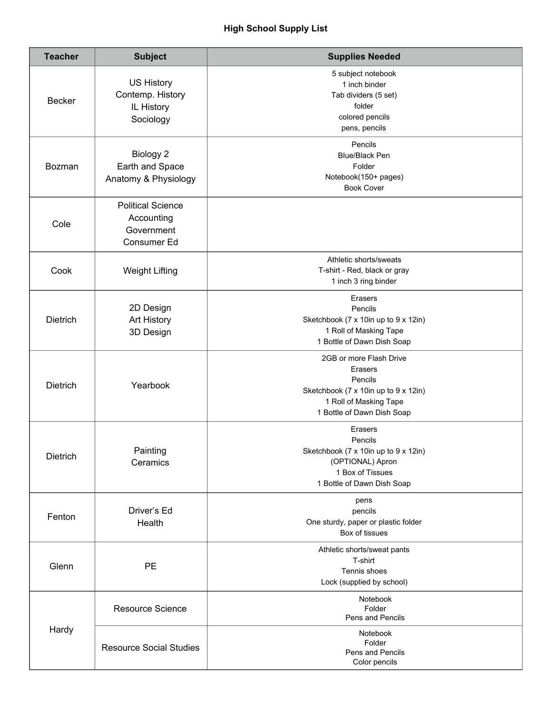| <b>Teacher</b>  | <b>Subject</b>                                                      | <b>Supplies Needed</b>                                                                                                                        |
|-----------------|---------------------------------------------------------------------|-----------------------------------------------------------------------------------------------------------------------------------------------|
| <b>Becker</b>   | <b>US History</b><br>Contemp. History<br>IL History<br>Sociology    | 5 subject notebook<br>1 inch binder<br>Tab dividers (5 set)<br>folder<br>colored pencils<br>pens, pencils                                     |
| Bozman          | Biology 2<br>Earth and Space<br>Anatomy & Physiology                | Pencils<br><b>Blue/Black Pen</b><br>Folder<br>Notebook(150+ pages)<br><b>Book Cover</b>                                                       |
| Cole            | <b>Political Science</b><br>Accounting<br>Government<br>Consumer Ed |                                                                                                                                               |
| Cook            | <b>Weight Lifting</b>                                               | Athletic shorts/sweats<br>T-shirt - Red, black or gray<br>1 inch 3 ring binder                                                                |
| <b>Dietrich</b> | 2D Design<br>Art History<br>3D Design                               | Erasers<br>Pencils<br>Sketchbook (7 x 10in up to 9 x 12in)<br>1 Roll of Masking Tape<br>1 Bottle of Dawn Dish Soap                            |
| <b>Dietrich</b> | Yearbook                                                            | 2GB or more Flash Drive<br>Erasers<br>Pencils<br>Sketchbook (7 x 10in up to 9 x 12in)<br>1 Roll of Masking Tape<br>1 Bottle of Dawn Dish Soap |
| Dietrich        | Painting<br>Ceramics                                                | Erasers<br>Pencils<br>Sketchbook (7 x 10in up to 9 x 12in)<br>(OPTIONAL) Apron<br>1 Box of Tissues<br>1 Bottle of Dawn Dish Soap              |
| Fenton          | Driver's Ed<br>Health                                               | pens<br>pencils<br>One sturdy, paper or plastic folder<br>Box of tissues                                                                      |
| Glenn           | <b>PE</b>                                                           | Athletic shorts/sweat pants<br>T-shirt<br>Tennis shoes<br>Lock (supplied by school)                                                           |
| Hardy           | <b>Resource Science</b>                                             | Notebook<br>Folder<br>Pens and Pencils                                                                                                        |
|                 | <b>Resource Social Studies</b>                                      | Notebook<br>Folder<br>Pens and Pencils<br>Color pencils                                                                                       |